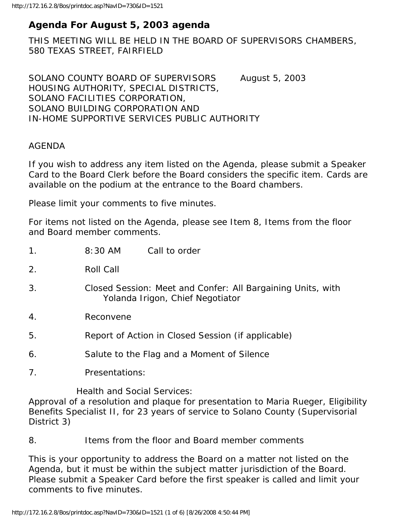# **Agenda For August 5, 2003 agenda**

THIS MEETING WILL BE HELD IN THE BOARD OF SUPERVISORS CHAMBERS, 580 TEXAS STREET, FAIRFIELD

SOLANO COUNTY BOARD OF SUPERVISORS August 5, 2003 HOUSING AUTHORITY, SPECIAL DISTRICTS, SOLANO FACILITIES CORPORATION, SOLANO BUILDING CORPORATION AND IN-HOME SUPPORTIVE SERVICES PUBLIC AUTHORITY

#### AGENDA

If you wish to address any item listed on the Agenda, please submit a Speaker Card to the Board Clerk before the Board considers the specific item. Cards are available on the podium at the entrance to the Board chambers.

Please limit your comments to five minutes.

For items not listed on the Agenda, please see Item 8, Items from the floor and Board member comments.

| $\mathbf 1$ .               | 8:30 AM                                                                                         | Call to order |
|-----------------------------|-------------------------------------------------------------------------------------------------|---------------|
| 2.                          | Roll Call                                                                                       |               |
| 3.                          | Closed Session: Meet and Confer: All Bargaining Units, with<br>Yolanda Irigon, Chief Negotiator |               |
| 4.                          | Reconvene                                                                                       |               |
| 5.                          | Report of Action in Closed Session (if applicable)                                              |               |
| 6.                          | Salute to the Flag and a Moment of Silence                                                      |               |
| 7 <sub>1</sub>              | Presentations:                                                                                  |               |
| Haalth and Social Sarvicas: |                                                                                                 |               |

Health and Social Services:

Approval of a resolution and plaque for presentation to Maria Rueger, Eligibility Benefits Specialist II, for 23 years of service to Solano County (Supervisorial District 3)

8. Items from the floor and Board member comments

This is your opportunity to address the Board on a matter not listed on the Agenda, but it must be within the subject matter jurisdiction of the Board. Please submit a Speaker Card before the first speaker is called and limit your comments to five minutes.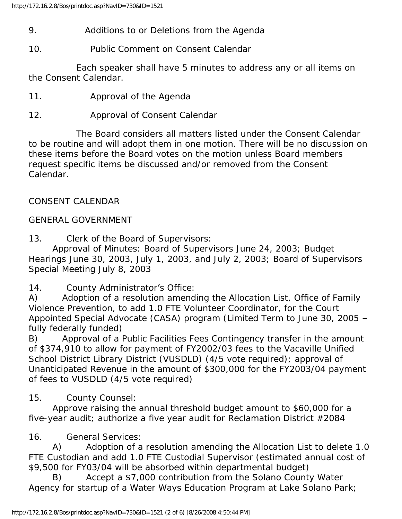- 9. Additions to or Deletions from the Agenda
- 10. Public Comment on Consent Calendar

 Each speaker shall have 5 minutes to address any or all items on the Consent Calendar.

- 11. Approval of the Agenda
- 12. Approval of Consent Calendar

 The Board considers all matters listed under the Consent Calendar to be routine and will adopt them in one motion. There will be no discussion on these items before the Board votes on the motion unless Board members request specific items be discussed and/or removed from the Consent Calendar.

# CONSENT CALENDAR

## GENERAL GOVERNMENT

13. Clerk of the Board of Supervisors:

 Approval of Minutes: Board of Supervisors June 24, 2003; Budget Hearings June 30, 2003, July 1, 2003, and July 2, 2003; Board of Supervisors Special Meeting July 8, 2003

14. County Administrator's Office:

A) Adoption of a resolution amending the Allocation List, Office of Family Violence Prevention, to add 1.0 FTE Volunteer Coordinator, for the Court Appointed Special Advocate (CASA) program (Limited Term to June 30, 2005 – fully federally funded)

B) Approval of a Public Facilities Fees Contingency transfer in the amount of \$374,910 to allow for payment of FY2002/03 fees to the Vacaville Unified School District Library District (VUSDLD) (4/5 vote required); approval of Unanticipated Revenue in the amount of \$300,000 for the FY2003/04 payment of fees to VUSDLD (4/5 vote required)

15. County Counsel:

 Approve raising the annual threshold budget amount to \$60,000 for a five-year audit; authorize a five year audit for Reclamation District #2084

16. General Services:

 A) Adoption of a resolution amending the Allocation List to delete 1.0 FTE Custodian and add 1.0 FTE Custodial Supervisor (estimated annual cost of \$9,500 for FY03/04 will be absorbed within departmental budget)

 B) Accept a \$7,000 contribution from the Solano County Water Agency for startup of a Water Ways Education Program at Lake Solano Park;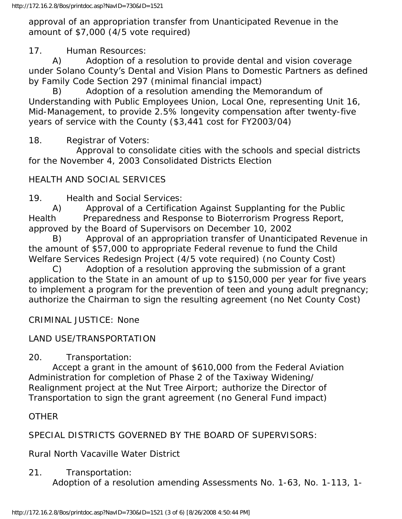approval of an appropriation transfer from Unanticipated Revenue in the amount of \$7,000 (4/5 vote required)

17. Human Resources:

 A) Adoption of a resolution to provide dental and vision coverage under Solano County's Dental and Vision Plans to Domestic Partners as defined by Family Code Section 297 (minimal financial impact)

 B) Adoption of a resolution amending the Memorandum of Understanding with Public Employees Union, Local One, representing Unit 16, Mid-Management, to provide 2.5% longevity compensation after twenty-five years of service with the County (\$3,441 cost for FY2003/04)

18. Registrar of Voters:

 Approval to consolidate cities with the schools and special districts for the November 4, 2003 Consolidated Districts Election

### HEALTH AND SOCIAL SERVICES

19. Health and Social Services:

 A) Approval of a Certification Against Supplanting for the Public Health Preparedness and Response to Bioterrorism Progress Report, approved by the Board of Supervisors on December 10, 2002

 B) Approval of an appropriation transfer of Unanticipated Revenue in the amount of \$57,000 to appropriate Federal revenue to fund the Child Welfare Services Redesign Project (4/5 vote required) (no County Cost)

 C) Adoption of a resolution approving the submission of a grant application to the State in an amount of up to \$150,000 per year for five years to implement a program for the prevention of teen and young adult pregnancy; authorize the Chairman to sign the resulting agreement (no Net County Cost)

CRIMINAL JUSTICE: None

### LAND USE/TRANSPORTATION

20. Transportation:

 Accept a grant in the amount of \$610,000 from the Federal Aviation Administration for completion of Phase 2 of the Taxiway Widening/ Realignment project at the Nut Tree Airport; authorize the Director of Transportation to sign the grant agreement (no General Fund impact)

**OTHER** 

SPECIAL DISTRICTS GOVERNED BY THE BOARD OF SUPERVISORS:

Rural North Vacaville Water District

21. Transportation:

Adoption of a resolution amending Assessments No. 1-63, No. 1-113, 1-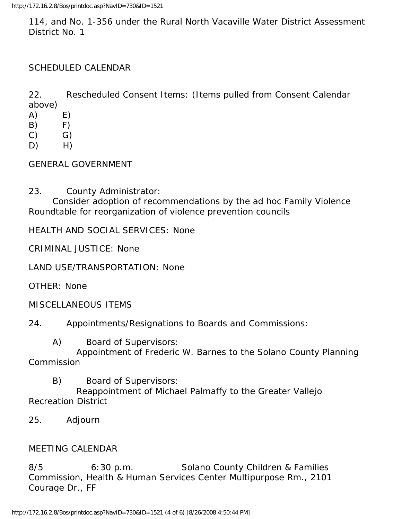114, and No. 1-356 under the Rural North Vacaville Water District Assessment District No. 1

### SCHEDULED CALENDAR

22. Rescheduled Consent Items: (Items pulled from Consent Calendar above)

- $(A)$   $E)$
- $(B)$  F)
- $(C)$   $G)$
- $D)$  H)

GENERAL GOVERNMENT

23. County Administrator:

 Consider adoption of recommendations by the ad hoc Family Violence Roundtable for reorganization of violence prevention councils

HEALTH AND SOCIAL SERVICES: None

CRIMINAL JUSTICE: None

LAND USE/TRANSPORTATION: None

OTHER: None

MISCELLANEOUS ITEMS

24. Appointments/Resignations to Boards and Commissions:

A) Board of Supervisors:

 Appointment of Frederic W. Barnes to the Solano County Planning **Commission** 

B) Board of Supervisors:

 Reappointment of Michael Palmaffy to the Greater Vallejo Recreation District

25. Adjourn

#### MEETING CALENDAR

8/5 6:30 p.m. Solano County Children & Families Commission, Health & Human Services Center Multipurpose Rm., 2101 Courage Dr., FF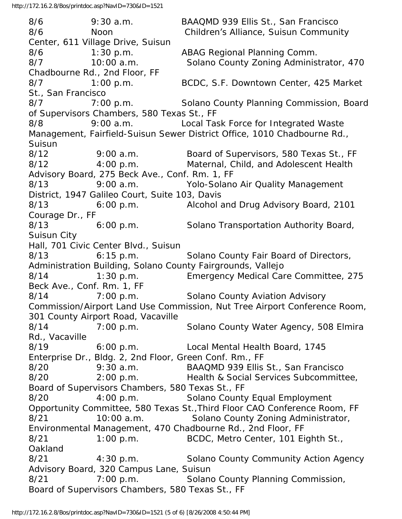8/6 9:30 a.m. BAAQMD 939 Ellis St., San Francisco 8/6 Noon Children's Alliance, Suisun Community Center, 611 Village Drive, Suisun 8/6 1:30 p.m. ABAG Regional Planning Comm. 8/7 10:00 a.m. Solano County Zoning Administrator, 470 Chadbourne Rd., 2nd Floor, FF 8/7 1:00 p.m. BCDC, S.F. Downtown Center, 425 Market St., San Francisco 8/7 7:00 p.m. Solano County Planning Commission, Board of Supervisors Chambers, 580 Texas St., FF 8/8 9:00 a.m. Local Task Force for Integrated Waste Management, Fairfield-Suisun Sewer District Office, 1010 Chadbourne Rd., **Suisun** 8/12 9:00 a.m. Board of Supervisors, 580 Texas St., FF 8/12 4:00 p.m. Maternal, Child, and Adolescent Health Advisory Board, 275 Beck Ave., Conf. Rm. 1, FF 8/13 9:00 a.m. Yolo-Solano Air Quality Management District, 1947 Galileo Court, Suite 103, Davis 8/13 6:00 p.m. Alcohol and Drug Advisory Board, 2101 Courage Dr., FF 8/13 6:00 p.m. Solano Transportation Authority Board, Suisun City Hall, 701 Civic Center Blvd., Suisun 8/13 6:15 p.m. Solano County Fair Board of Directors, Administration Building, Solano County Fairgrounds, Vallejo 8/14 1:30 p.m. Emergency Medical Care Committee, 275 Beck Ave., Conf. Rm. 1, FF 8/14 7:00 p.m. Solano County Aviation Advisory Commission/Airport Land Use Commission, Nut Tree Airport Conference Room, 301 County Airport Road, Vacaville 8/14 7:00 p.m. Solano County Water Agency, 508 Elmira Rd., Vacaville 8/19 6:00 p.m. Local Mental Health Board, 1745 Enterprise Dr., Bldg. 2, 2nd Floor, Green Conf. Rm., FF 8/20 9:30 a.m. BAAQMD 939 Ellis St., San Francisco 8/20 2:00 p.m. Health & Social Services Subcommittee, Board of Supervisors Chambers, 580 Texas St., FF 8/20 4:00 p.m. Solano County Equal Employment Opportunity Committee, 580 Texas St.,Third Floor CAO Conference Room, FF 8/21 10:00 a.m. Solano County Zoning Administrator, Environmental Management, 470 Chadbourne Rd., 2nd Floor, FF 8/21 1:00 p.m. BCDC, Metro Center, 101 Eighth St., Oakland 8/21 4:30 p.m. Solano County Community Action Agency Advisory Board, 320 Campus Lane, Suisun 8/21 7:00 p.m. Solano County Planning Commission, Board of Supervisors Chambers, 580 Texas St., FF